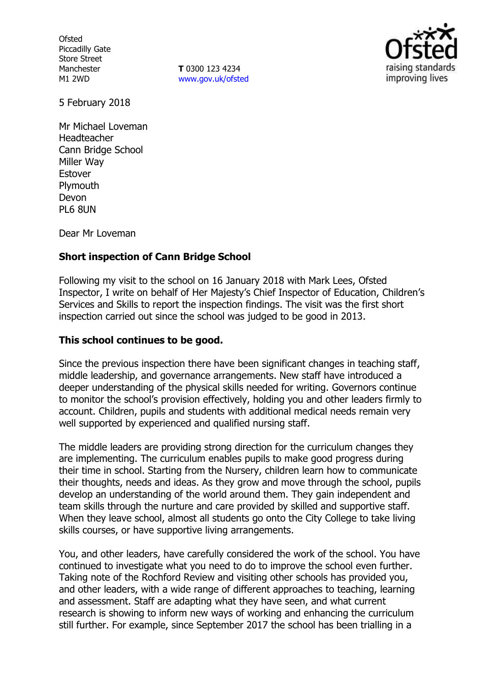**Ofsted** Piccadilly Gate Store Street Manchester M1 2WD

**T** 0300 123 4234 www.gov.uk/ofsted



5 February 2018

Mr Michael Loveman Headteacher Cann Bridge School Miller Way Estover Plymouth Devon PL6 8UN

Dear Mr Loveman

# **Short inspection of Cann Bridge School**

Following my visit to the school on 16 January 2018 with Mark Lees, Ofsted Inspector, I write on behalf of Her Majesty's Chief Inspector of Education, Children's Services and Skills to report the inspection findings. The visit was the first short inspection carried out since the school was judged to be good in 2013.

## **This school continues to be good.**

Since the previous inspection there have been significant changes in teaching staff, middle leadership, and governance arrangements. New staff have introduced a deeper understanding of the physical skills needed for writing. Governors continue to monitor the school's provision effectively, holding you and other leaders firmly to account. Children, pupils and students with additional medical needs remain very well supported by experienced and qualified nursing staff.

The middle leaders are providing strong direction for the curriculum changes they are implementing. The curriculum enables pupils to make good progress during their time in school. Starting from the Nursery, children learn how to communicate their thoughts, needs and ideas. As they grow and move through the school, pupils develop an understanding of the world around them. They gain independent and team skills through the nurture and care provided by skilled and supportive staff. When they leave school, almost all students go onto the City College to take living skills courses, or have supportive living arrangements.

You, and other leaders, have carefully considered the work of the school. You have continued to investigate what you need to do to improve the school even further. Taking note of the Rochford Review and visiting other schools has provided you, and other leaders, with a wide range of different approaches to teaching, learning and assessment. Staff are adapting what they have seen, and what current research is showing to inform new ways of working and enhancing the curriculum still further. For example, since September 2017 the school has been trialling in a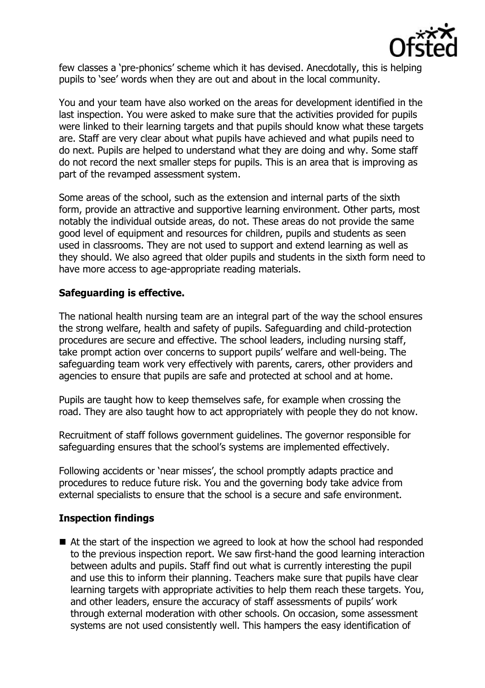

few classes a 'pre-phonics' scheme which it has devised. Anecdotally, this is helping pupils to 'see' words when they are out and about in the local community.

You and your team have also worked on the areas for development identified in the last inspection. You were asked to make sure that the activities provided for pupils were linked to their learning targets and that pupils should know what these targets are. Staff are very clear about what pupils have achieved and what pupils need to do next. Pupils are helped to understand what they are doing and why. Some staff do not record the next smaller steps for pupils. This is an area that is improving as part of the revamped assessment system.

Some areas of the school, such as the extension and internal parts of the sixth form, provide an attractive and supportive learning environment. Other parts, most notably the individual outside areas, do not. These areas do not provide the same good level of equipment and resources for children, pupils and students as seen used in classrooms. They are not used to support and extend learning as well as they should. We also agreed that older pupils and students in the sixth form need to have more access to age-appropriate reading materials.

## **Safeguarding is effective.**

The national health nursing team are an integral part of the way the school ensures the strong welfare, health and safety of pupils. Safeguarding and child-protection procedures are secure and effective. The school leaders, including nursing staff, take prompt action over concerns to support pupils' welfare and well-being. The safeguarding team work very effectively with parents, carers, other providers and agencies to ensure that pupils are safe and protected at school and at home.

Pupils are taught how to keep themselves safe, for example when crossing the road. They are also taught how to act appropriately with people they do not know.

Recruitment of staff follows government guidelines. The governor responsible for safeguarding ensures that the school's systems are implemented effectively.

Following accidents or 'near misses', the school promptly adapts practice and procedures to reduce future risk. You and the governing body take advice from external specialists to ensure that the school is a secure and safe environment.

## **Inspection findings**

■ At the start of the inspection we agreed to look at how the school had responded to the previous inspection report. We saw first-hand the good learning interaction between adults and pupils. Staff find out what is currently interesting the pupil and use this to inform their planning. Teachers make sure that pupils have clear learning targets with appropriate activities to help them reach these targets. You, and other leaders, ensure the accuracy of staff assessments of pupils' work through external moderation with other schools. On occasion, some assessment systems are not used consistently well. This hampers the easy identification of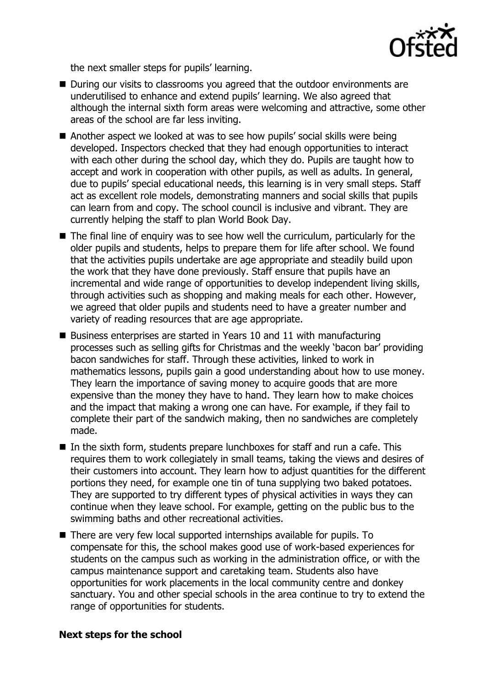

the next smaller steps for pupils' learning.

- During our visits to classrooms you agreed that the outdoor environments are underutilised to enhance and extend pupils' learning. We also agreed that although the internal sixth form areas were welcoming and attractive, some other areas of the school are far less inviting.
- Another aspect we looked at was to see how pupils' social skills were being developed. Inspectors checked that they had enough opportunities to interact with each other during the school day, which they do. Pupils are taught how to accept and work in cooperation with other pupils, as well as adults. In general, due to pupils' special educational needs, this learning is in very small steps. Staff act as excellent role models, demonstrating manners and social skills that pupils can learn from and copy. The school council is inclusive and vibrant. They are currently helping the staff to plan World Book Day.
- The final line of enquiry was to see how well the curriculum, particularly for the older pupils and students, helps to prepare them for life after school. We found that the activities pupils undertake are age appropriate and steadily build upon the work that they have done previously. Staff ensure that pupils have an incremental and wide range of opportunities to develop independent living skills, through activities such as shopping and making meals for each other. However, we agreed that older pupils and students need to have a greater number and variety of reading resources that are age appropriate.
- Business enterprises are started in Years 10 and 11 with manufacturing processes such as selling gifts for Christmas and the weekly 'bacon bar' providing bacon sandwiches for staff. Through these activities, linked to work in mathematics lessons, pupils gain a good understanding about how to use money. They learn the importance of saving money to acquire goods that are more expensive than the money they have to hand. They learn how to make choices and the impact that making a wrong one can have. For example, if they fail to complete their part of the sandwich making, then no sandwiches are completely made.
- In the sixth form, students prepare lunchboxes for staff and run a cafe. This requires them to work collegiately in small teams, taking the views and desires of their customers into account. They learn how to adjust quantities for the different portions they need, for example one tin of tuna supplying two baked potatoes. They are supported to try different types of physical activities in ways they can continue when they leave school. For example, getting on the public bus to the swimming baths and other recreational activities.
- There are very few local supported internships available for pupils. To compensate for this, the school makes good use of work-based experiences for students on the campus such as working in the administration office, or with the campus maintenance support and caretaking team. Students also have opportunities for work placements in the local community centre and donkey sanctuary. You and other special schools in the area continue to try to extend the range of opportunities for students.

### **Next steps for the school**